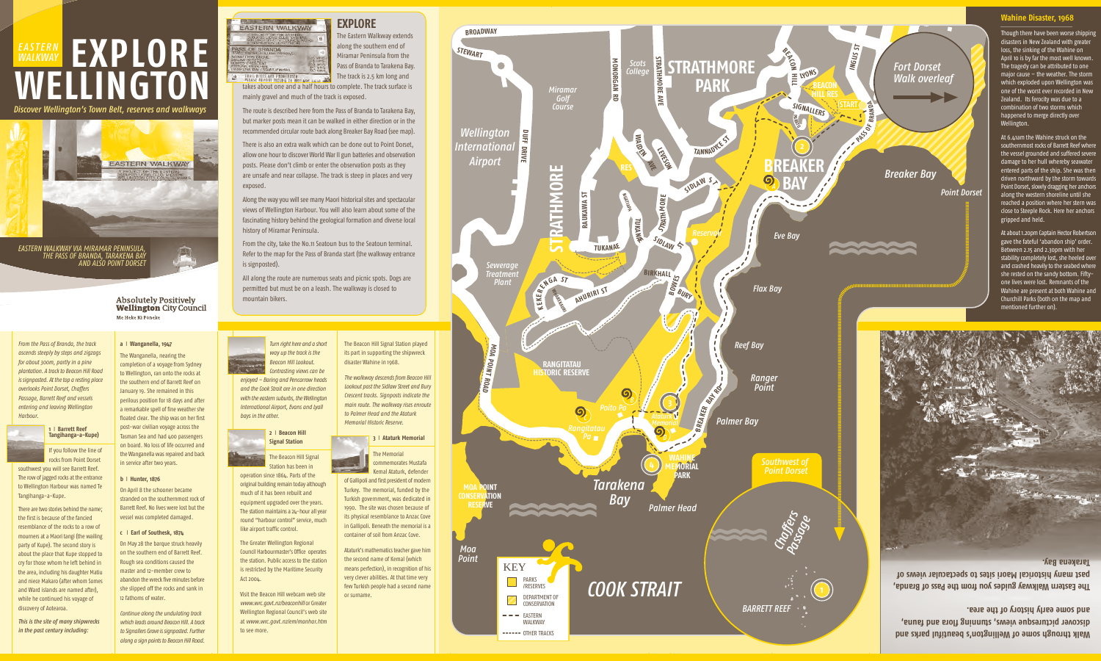## **EXPLORE**

The Eastern Walkway extends along the southern end of Miramar Peninsula from the Pass of Branda to Tarakena Bay. The track is 2.5 km long and

takes about one and a half hours to complete. The track surface is mainly gravel and much of the track is exposed.

The route is described here from the Pass of Branda to Tarakena Bay, but marker posts mean it can be walked in either direction or in the recommended circular route back along Breaker Bay Road (see map).

Along the way you will see many Maori historical sites and spectacular views of Wellington Harbour. You will also learn about some of the fascinating history behind the geological formation and diverse local history of Miramar Peninsula.

There is also an extra walk which can be done out to Point Dorset, allow one hour to discover World War II gun batteries and observation posts. Please don't climb or enter the observation posts as they are unsafe and near collapse. The track is steep in places and very exposed.

> **Walk through some of Wellington's beautiful parks and , una fa a and r lo ng f unni t ews, s vi esque ctur er pi v disco** and some early history of the area.

From the city, take the No.11 Seatoun bus to the Seatoun terminal. Refer to the map for the Pass of Branda start (the walkway entrance is signposted).

All along the route are numerous seats and picnic spots. Dogs are permitted but must be on a leash. The walkway is closed to mountain bikers.

> **da, an Br of ass P the om fr you ides y gu wa lk Eastern Wa The past many historical Maori sites to spectacular views of Tarakena Bay.**

*From the Pass of Branda, the track ascends steeply by steps and zigzags for about 300m, partly in a pine plantation. A track to Beacon Hill Road is signposted. At the top a resting place overlooks Point Dorset, Chaffers Passage, Barrett Reef and vessels entering and leaving Wellington Harbour.*



If you follow the line of

rocks from Point Dorset

southwest you will see Barrett Reef. The row of jagged rocks at the entrance to Wellington Harbour was named Te Tangihanga-a-Kupe.

There are two stories behind the name; the first is because of the fancied resemblance of the rocks to a row of mourners at a Maori tangi (the wailing party of Kupe). The second story is about the place that Kupe stopped to cry for those whom he left behind in the area, including his daughter Matiu and niece Makaro (after whom Somes and Ward islands are named after), while he continued his voyage of discovery of Aotearoa.

*This is the site of many shipwrecks in the past century including:*



At about 1.20pm Captain Hector Robertso gave the fateful 'abandon ship' order.

**a** I **Wanganella, 1947** The Wanganella, nearing the completion of a voyage from Sydney to Wellington, ran onto the rocks at the southern end of Barrett Reef on January 19. She remained in this perilous position for 18 days and after a remarkable spell of fine weather she floated clear. The ship was on her first post-war civilian voyage across the Tasman Sea and had 400 passengers on board. No loss of life occurred and the Wanganella was repaired and back in service after two years.

**b** I **Hunter, 1876** On April 8 the schooner became stranded on the southernmost rock of Barrett Reef. No lives were lost but the

> vessel was completed damaged. **c** I **Earl of Southesk, 1874** On May 28 the barque struck heavily on the southern end of Barrett Reef. Rough sea conditions caused the master and 12-member crew to abandon the wreck five minutes before

she slipped off the rocks and sank in 12 fathoms of water. *Continue along the undulating track which leads around Beacon Hill. A track* to Signallers Grove is signposted. Further *along a sign points to Beacon Hill Road.*

# **EASTERN** EXPLORE **WELLINGTON** *WALKWAY*

### **Wahine Disaster, 1968**

Though there have been worse shipping disasters in New Zealand with greater loss, the sinking of the Wahine on April 10 is by far the most well known. The tragedy can be attributed to one major cause – the weather. The storm which exploded upon Wellington was one of the worst ever recorded in New Zealand. Its ferocity was due to a combination of two storms which happened to merge directly over Wellington.

At 6.41am the Wahine struck on the southernmost rocks of Barrett Reef where the vessel grounded and suffered severe damage to her hull whereby seawater entered parts of the ship. She was then driven northward by the storm towards Point Dorset, slowly dragging her anchors along the western shoreline until she reached a position where her stern was close to Steeple Rock. Here her anchors gripped and held.

Between 2.15 and 2.30pm with her stability completely lost, she heeled over and crashed heavily to the seabed where she rested on the sandy bottom. Fiftyone lives were lost. Remnants of the Wahine are present at both Wahine and







the station. Public access to the station is restricted by the Maritime Security

Act 2004.



Visit the Beacon Hill webcam web site *www.wrc.govt.nz/beaconhill* or Greater Wellington Regional Council's web site at *www.wrc.govt.nz/em/manhar.htm*

to see more.



Kemal Ataturk, defender of Gallipoli and first president of modern Turkey. The memorial, funded by the Turkish government, was dedicated in 1990. The site was chosen because of its physical resemblance to Anzac Cove in Gallipoli. Beneath the memorial is a

the second name of Kemal (which

Ataturk's mathematics teacher gave him means perfection), in recognition of his very clever abilities. At that time very few Turkish people had a second name or surname.

*Discover Wellington's Town Belt, reserves and walkways*



Absolutely Positively<br>**Wellington** City Council Me Heke Ki Põneke